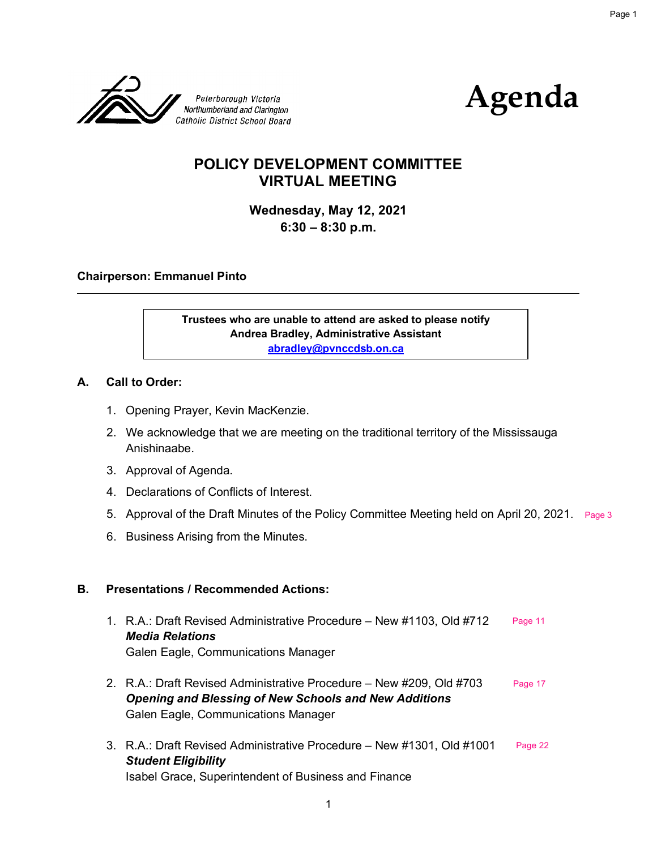



# **POLICY DEVELOPMENT COMMITTEE VIRTUAL MEETING**

**Wednesday, May 12, 2021 6:30 – 8:30 p.m.**

#### **Chairperson: Emmanuel Pinto**

**Trustees who are unable to attend are asked to please notify Andrea Bradley, Administrative Assistant abradley@pvnccdsb.on.ca** 

#### **A. Call to Order:**

- 1. Opening Prayer, Kevin MacKenzie.
- 2. We acknowledge that we are meeting on the traditional territory of the Mississauga Anishinaabe.
- 3. Approval of Agenda.
- 4. Declarations of Conflicts of Interest.
- 5. Approval of the Draft Minutes of the Policy Committee Meeting held on April 20, 2021. [Page 3](#page-2-0)
- 6. Business Arising from the Minutes.

#### **B. Presentations / Recommended Actions:**

- 1. R.A.: Draft Revised Administrative Procedure New #1103, Old #712 *Media Relations* Galen Eagle, Communications Manager [Page 11](#page-10-0)
- 2. R.A.: Draft Revised Administrative Procedure New #209, Old #703 *Opening and Blessing of New Schools and New Additions* Galen Eagle, Communications Manager [Page 17](#page-16-0)
- 3. R.A.: Draft Revised Administrative Procedure New #1301, Old #1001 *Student Eligibility* Isabel Grace, Superintendent of Business and Finance [Page 22](#page-21-0)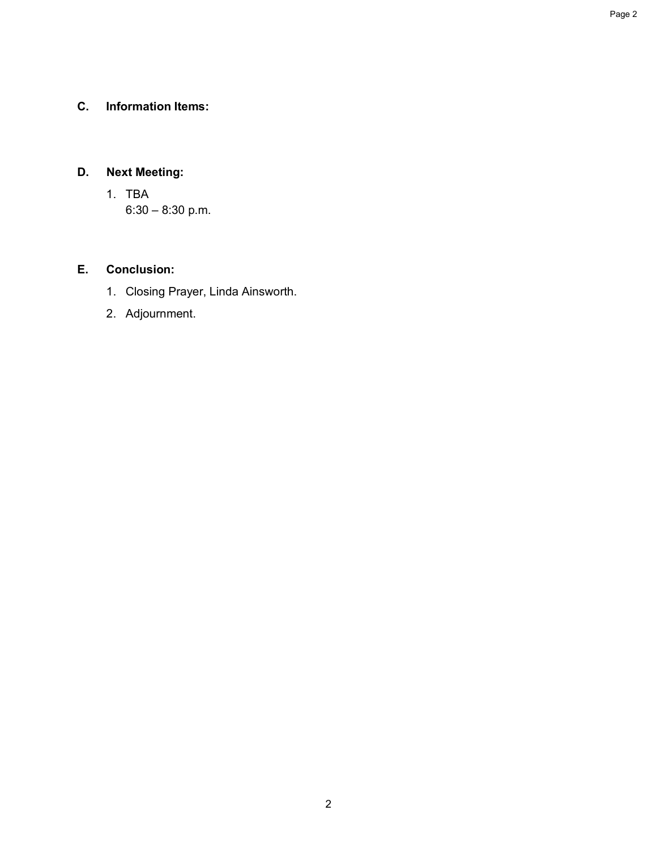# **C. Information Items:**

# **D. Next Meeting:**

1. TBA 6:30 – 8:30 p.m.

#### **E. Conclusion:**

- 1. Closing Prayer, Linda Ainsworth.
- 2. Adjournment.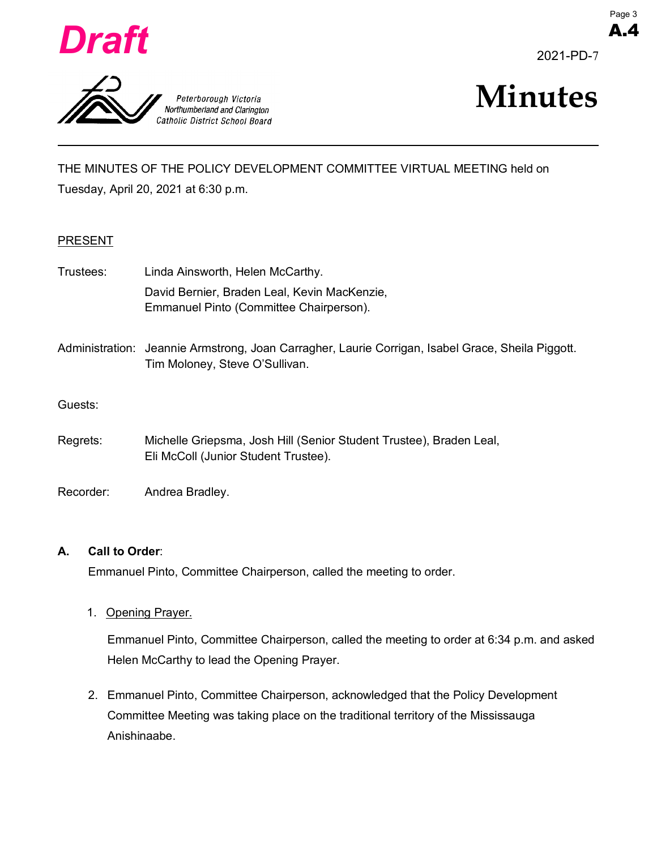<span id="page-2-0"></span>





A.4



THE MINUTES OF THE POLICY DEVELOPMENT COMMITTEE VIRTUAL MEETING held on Tuesday, April 20, 2021 at 6:30 p.m.

#### PRESENT

- Trustees: Linda Ainsworth, Helen McCarthy. David Bernier, Braden Leal, Kevin MacKenzie, Emmanuel Pinto (Committee Chairperson).
- Administration: Jeannie Armstrong, Joan Carragher, Laurie Corrigan, Isabel Grace, Sheila Piggott. Tim Moloney, Steve O'Sullivan.

#### Guests:

- Regrets: Michelle Griepsma, Josh Hill (Senior Student Trustee), Braden Leal, Eli McColl (Junior Student Trustee).
- Recorder: Andrea Bradley.

#### **A. Call to Order**:

Emmanuel Pinto, Committee Chairperson, called the meeting to order.

1. Opening Prayer.

Emmanuel Pinto, Committee Chairperson, called the meeting to order at 6:34 p.m. and asked Helen McCarthy to lead the Opening Prayer.

2. Emmanuel Pinto, Committee Chairperson, acknowledged that the Policy Development Committee Meeting was taking place on the traditional territory of the Mississauga Anishinaabe.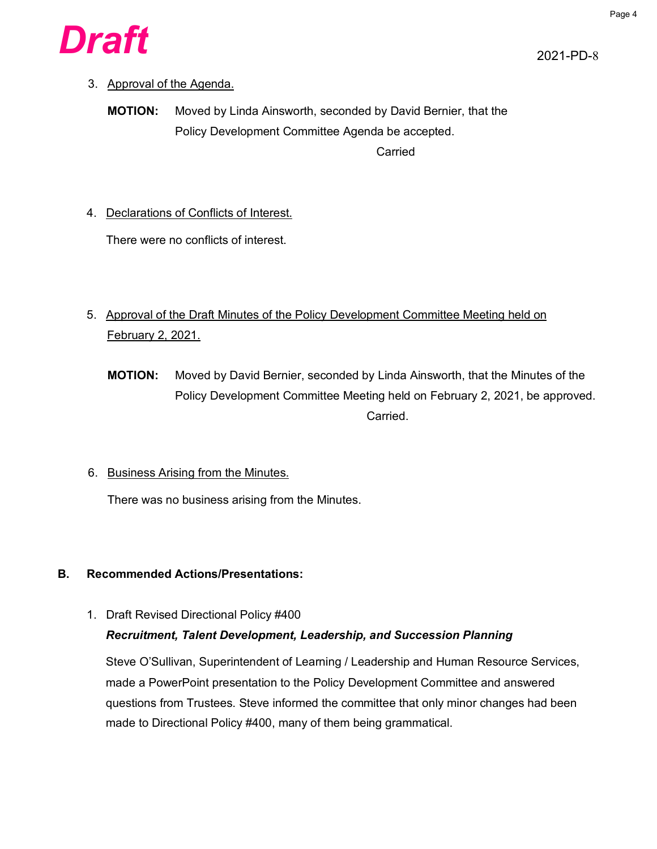

# 3. Approval of the Agenda.

**MOTION:** Moved by Linda Ainsworth, seconded by David Bernier, that the Policy Development Committee Agenda be accepted. Carried

4. Declarations of Conflicts of Interest.

There were no conflicts of interest.

- 5. Approval of the Draft Minutes of the Policy Development Committee Meeting held on February 2, 2021.
	- **MOTION:** Moved by David Bernier, seconded by Linda Ainsworth, that the Minutes of the Policy Development Committee Meeting held on February 2, 2021, be approved. Carried.
- 6. Business Arising from the Minutes.

There was no business arising from the Minutes.

# **B. Recommended Actions/Presentations:**

1. Draft Revised Directional Policy #400

# *Recruitment, Talent Development, Leadership, and Succession Planning*

Steve O'Sullivan, Superintendent of Learning / Leadership and Human Resource Services, made a PowerPoint presentation to the Policy Development Committee and answered questions from Trustees. Steve informed the committee that only minor changes had been made to Directional Policy #400, many of them being grammatical.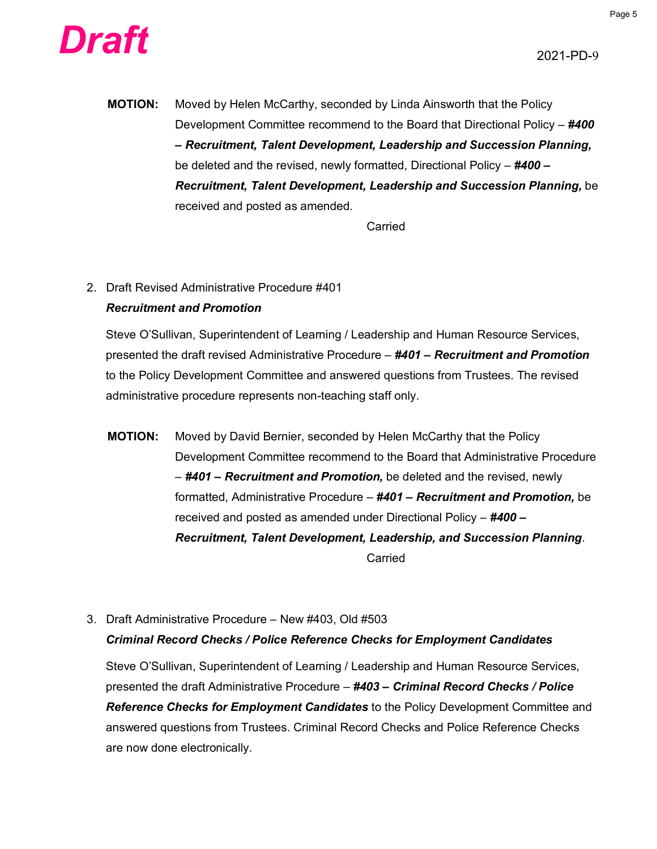



**MOTION:** Moved by Helen McCarthy, seconded by Linda Ainsworth that the Policy Development Committee recommend to the Board that Directional Policy – *#400 – Recruitment, Talent Development, Leadership and Succession Planning,* be deleted and the revised, newly formatted, Directional Policy – *#400 – Recruitment, Talent Development, Leadership and Succession Planning,* be received and posted as amended.

Carried

# 2. Draft Revised Administrative Procedure #401 *Recruitment and Promotion*

Steve O'Sullivan, Superintendent of Learning / Leadership and Human Resource Services, presented the draft revised Administrative Procedure – *#401 – Recruitment and Promotion* to the Policy Development Committee and answered questions from Trustees. The revised administrative procedure represents non-teaching staff only.

- **MOTION:** Moved by David Bernier, seconded by Helen McCarthy that the Policy Development Committee recommend to the Board that Administrative Procedure – *#401 – Recruitment and Promotion,* be deleted and the revised, newly formatted, Administrative Procedure – *#401 – Recruitment and Promotion,* be received and posted as amended under Directional Policy – *#400 – Recruitment, Talent Development, Leadership, and Succession Planning*. Carried
- 3. Draft Administrative Procedure New #403, Old #503 *Criminal Record Checks / Police Reference Checks for Employment Candidates*

Steve O'Sullivan, Superintendent of Learning / Leadership and Human Resource Services, presented the draft Administrative Procedure – *#403 – Criminal Record Checks / Police Reference Checks for Employment Candidates* to the Policy Development Committee and answered questions from Trustees. Criminal Record Checks and Police Reference Checks are now done electronically.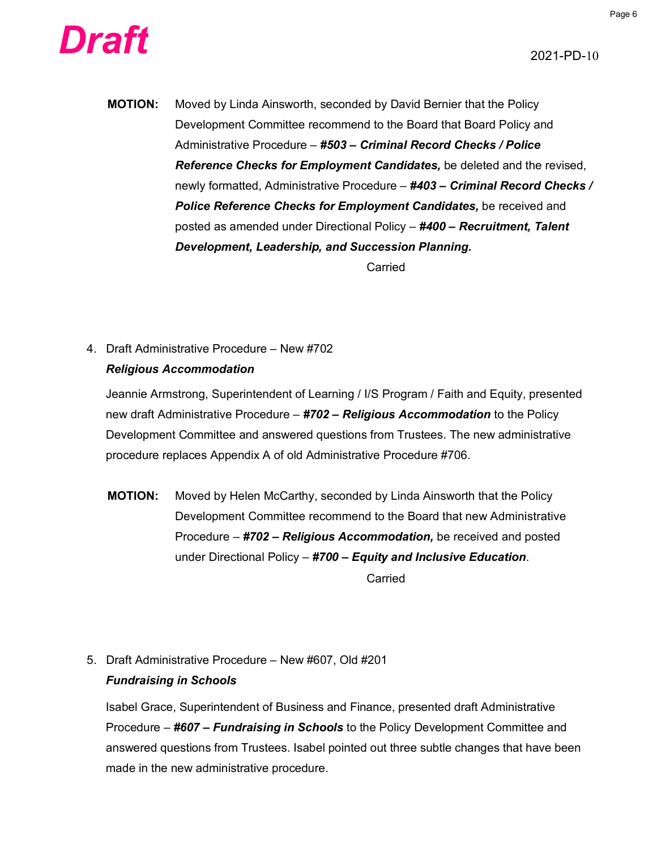



**MOTION:** Moved by Linda Ainsworth, seconded by David Bernier that the Policy Development Committee recommend to the Board that Board Policy and Administrative Procedure – *#503 – Criminal Record Checks / Police Reference Checks for Employment Candidates,* be deleted and the revised, newly formatted, Administrative Procedure – *#403 – Criminal Record Checks / Police Reference Checks for Employment Candidates,* be received and posted as amended under Directional Policy – *#400 – Recruitment, Talent Development, Leadership, and Succession Planning.*

Carried

# 4. Draft Administrative Procedure – New #702 *Religious Accommodation*

Jeannie Armstrong, Superintendent of Learning / I/S Program / Faith and Equity, presented new draft Administrative Procedure – *#702 – Religious Accommodation* to the Policy Development Committee and answered questions from Trustees. The new administrative procedure replaces Appendix A of old Administrative Procedure #706.

**MOTION:** Moved by Helen McCarthy, seconded by Linda Ainsworth that the Policy Development Committee recommend to the Board that new Administrative Procedure – *#702 – Religious Accommodation,* be received and posted under Directional Policy – *#700 – Equity and Inclusive Education*.

Carried

5. Draft Administrative Procedure – New #607, Old #201 *Fundraising in Schools*

Isabel Grace, Superintendent of Business and Finance, presented draft Administrative Procedure – *#607 – Fundraising in Schools* to the Policy Development Committee and answered questions from Trustees. Isabel pointed out three subtle changes that have been made in the new administrative procedure.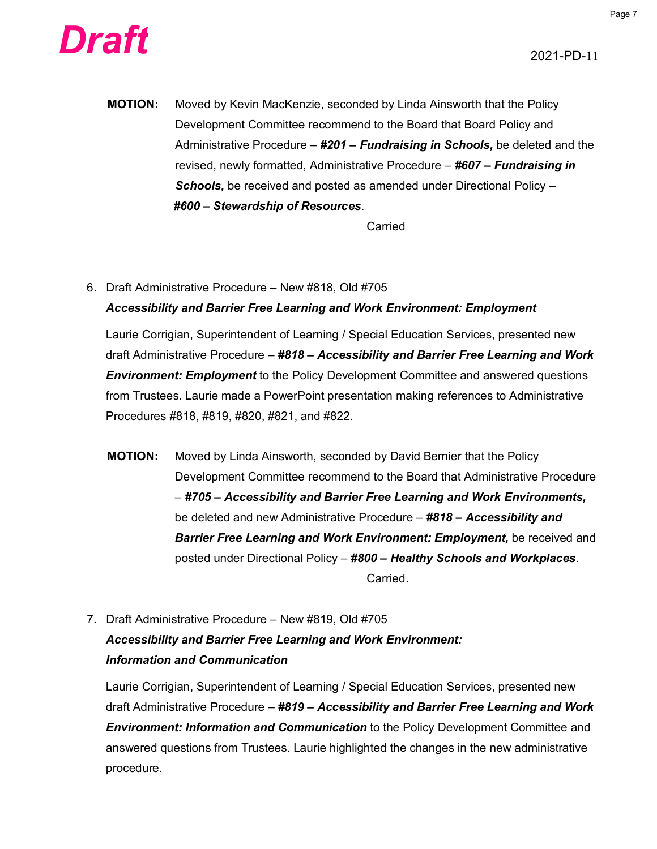



**MOTION:** Moved by Kevin MacKenzie, seconded by Linda Ainsworth that the Policy Development Committee recommend to the Board that Board Policy and Administrative Procedure – *#201 – Fundraising in Schools,* be deleted and the revised, newly formatted, Administrative Procedure – *#607 – Fundraising in Schools,* be received and posted as amended under Directional Policy – *#600 – Stewardship of Resources*.

Carried

6. Draft Administrative Procedure – New #818, Old #705 *Accessibility and Barrier Free Learning and Work Environment: Employment*

Laurie Corrigian, Superintendent of Learning / Special Education Services, presented new draft Administrative Procedure – *#818 – Accessibility and Barrier Free Learning and Work Environment: Employment* to the Policy Development Committee and answered questions from Trustees. Laurie made a PowerPoint presentation making references to Administrative Procedures #818, #819, #820, #821, and #822.

- **MOTION:** Moved by Linda Ainsworth, seconded by David Bernier that the Policy Development Committee recommend to the Board that Administrative Procedure – *#705 – Accessibility and Barrier Free Learning and Work Environments,*  be deleted and new Administrative Procedure – *#818 – Accessibility and Barrier Free Learning and Work Environment: Employment,* be received and posted under Directional Policy – *#800 – Healthy Schools and Workplaces*. Carried.
- 7. Draft Administrative Procedure New #819, Old #705 *Accessibility and Barrier Free Learning and Work Environment: Information and Communication*

Laurie Corrigian, Superintendent of Learning / Special Education Services, presented new draft Administrative Procedure – *#819 – Accessibility and Barrier Free Learning and Work Environment: Information and Communication* to the Policy Development Committee and answered questions from Trustees. Laurie highlighted the changes in the new administrative procedure.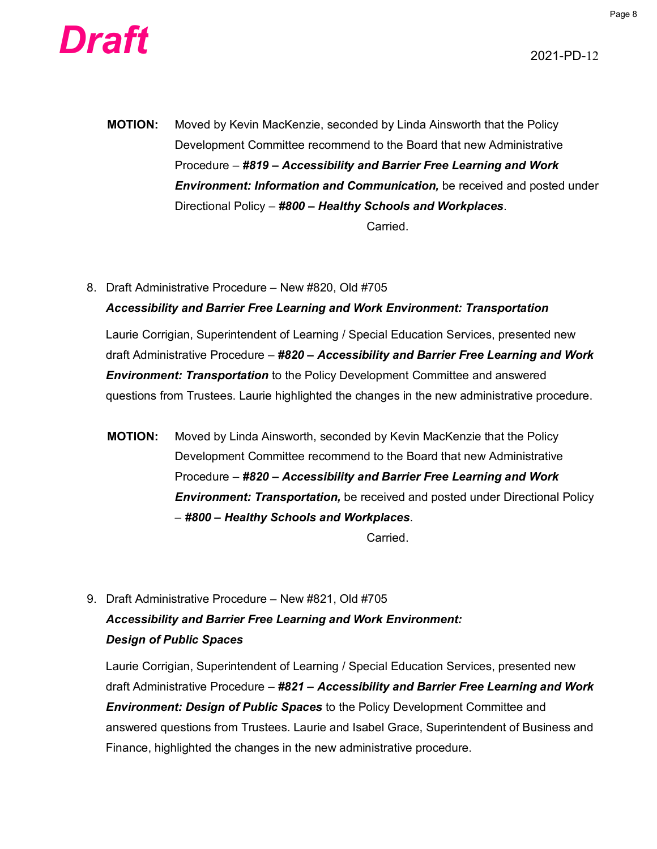



**MOTION:** Moved by Kevin MacKenzie, seconded by Linda Ainsworth that the Policy Development Committee recommend to the Board that new Administrative Procedure – *#819 – Accessibility and Barrier Free Learning and Work Environment: Information and Communication,* be received and posted under Directional Policy – *#800 – Healthy Schools and Workplaces*.

Carried.

8. Draft Administrative Procedure – New #820, Old #705 *Accessibility and Barrier Free Learning and Work Environment: Transportation*

Laurie Corrigian, Superintendent of Learning / Special Education Services, presented new draft Administrative Procedure – *#820 – Accessibility and Barrier Free Learning and Work Environment: Transportation* to the Policy Development Committee and answered questions from Trustees. Laurie highlighted the changes in the new administrative procedure.

**MOTION:** Moved by Linda Ainsworth, seconded by Kevin MacKenzie that the Policy Development Committee recommend to the Board that new Administrative Procedure – *#820 – Accessibility and Barrier Free Learning and Work Environment: Transportation,* be received and posted under Directional Policy – *#800 – Healthy Schools and Workplaces*.

Carried.

9. Draft Administrative Procedure – New #821, Old #705 *Accessibility and Barrier Free Learning and Work Environment: Design of Public Spaces*

Laurie Corrigian, Superintendent of Learning / Special Education Services, presented new draft Administrative Procedure – *#821 – Accessibility and Barrier Free Learning and Work Environment: Design of Public Spaces* to the Policy Development Committee and answered questions from Trustees. Laurie and Isabel Grace, Superintendent of Business and Finance, highlighted the changes in the new administrative procedure.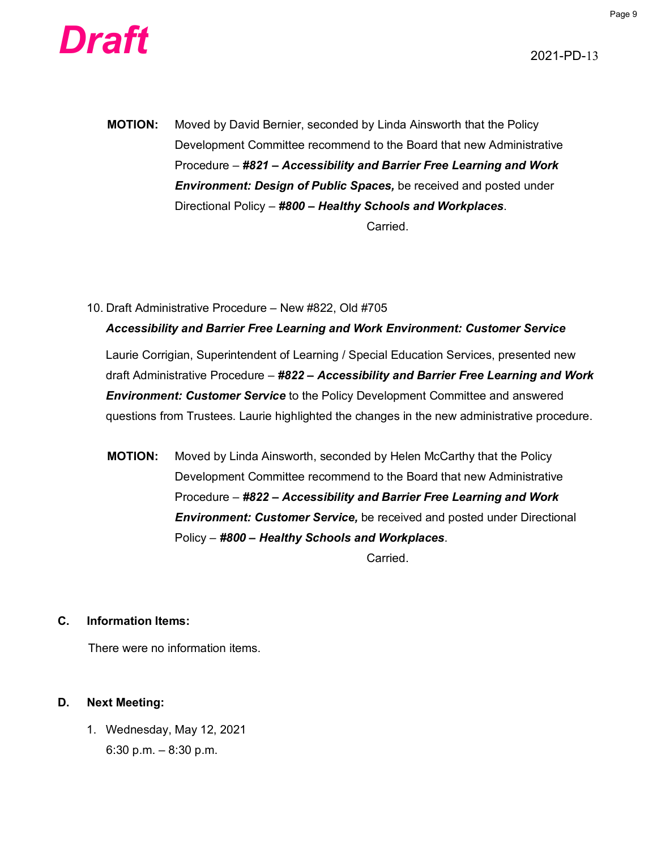



- **MOTION:** Moved by David Bernier, seconded by Linda Ainsworth that the Policy Development Committee recommend to the Board that new Administrative Procedure – *#821 – Accessibility and Barrier Free Learning and Work Environment: Design of Public Spaces,* be received and posted under Directional Policy – *#800 – Healthy Schools and Workplaces*. Carried.
- 10. Draft Administrative Procedure New #822, Old #705 *Accessibility and Barrier Free Learning and Work Environment: Customer Service*

Laurie Corrigian, Superintendent of Learning / Special Education Services, presented new draft Administrative Procedure – *#822 – Accessibility and Barrier Free Learning and Work Environment: Customer Service* to the Policy Development Committee and answered questions from Trustees. Laurie highlighted the changes in the new administrative procedure.

**MOTION:** Moved by Linda Ainsworth, seconded by Helen McCarthy that the Policy Development Committee recommend to the Board that new Administrative Procedure – *#822 – Accessibility and Barrier Free Learning and Work Environment: Customer Service,* be received and posted under Directional Policy – *#800 – Healthy Schools and Workplaces*.

**Carried** 

#### **C. Information Items:**

There were no information items.

#### **D. Next Meeting:**

1. Wednesday, May 12, 2021 6:30 p.m. – 8:30 p.m.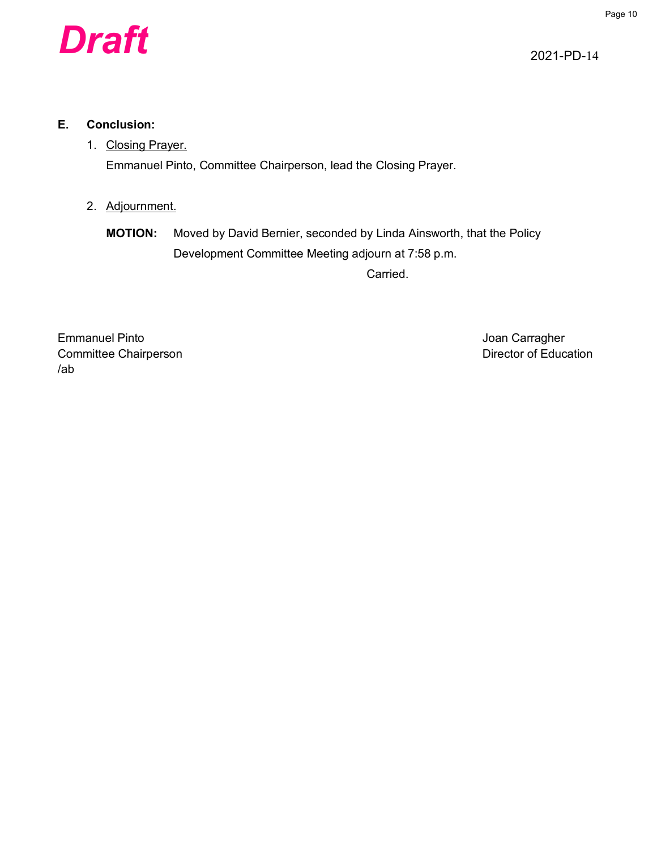

2021-PD-14

#### **E. Conclusion:**

# 1. Closing Prayer.

Emmanuel Pinto, Committee Chairperson, lead the Closing Prayer.

2. Adjournment.

**MOTION:** Moved by David Bernier, seconded by Linda Ainsworth, that the Policy Development Committee Meeting adjourn at 7:58 p.m.

Carried.

Emmanuel Pinto **Carragher** Controllering Controllering Controllering Controllering Controllering Controllering Controllering Controllering Controllering Controllering Controllering Controllering Controllering Controllering Committee Chairperson **Committee Chairperson** /ab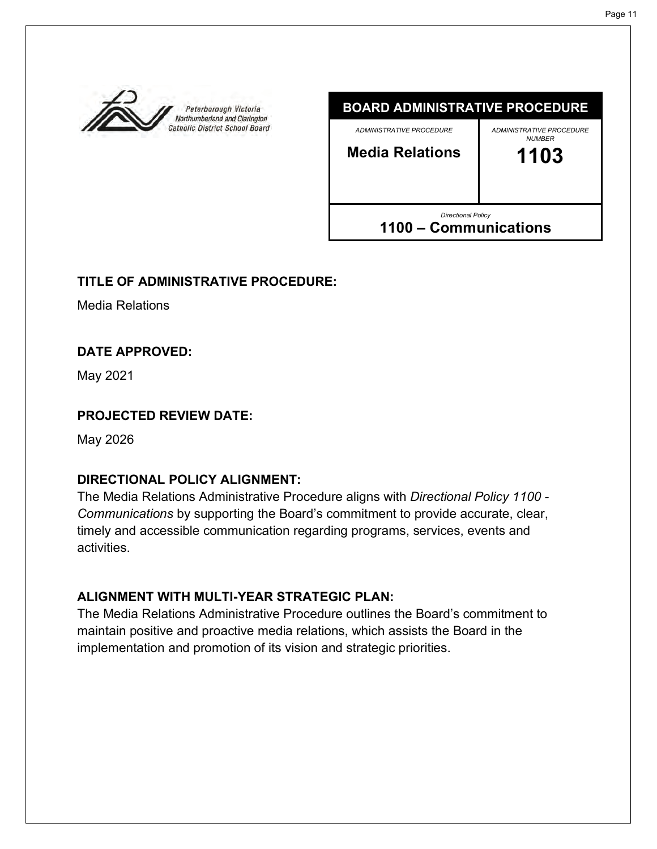<span id="page-10-0"></span>



# **TITLE OF ADMINISTRATIVE PROCEDURE:**

Media Relations

#### **DATE APPROVED:**

May 2021

#### **PROJECTED REVIEW DATE:**

May 2026

# **DIRECTIONAL POLICY ALIGNMENT:**

The Media Relations Administrative Procedure aligns with *Directional Policy 1100 - Communications* by supporting the Board's commitment to provide accurate, clear, timely and accessible communication regarding programs, services, events and activities.

# **ALIGNMENT WITH MULTI-YEAR STRATEGIC PLAN:**

The Media Relations Administrative Procedure outlines the Board's commitment to maintain positive and proactive media relations, which assists the Board in the implementation and promotion of its vision and strategic priorities.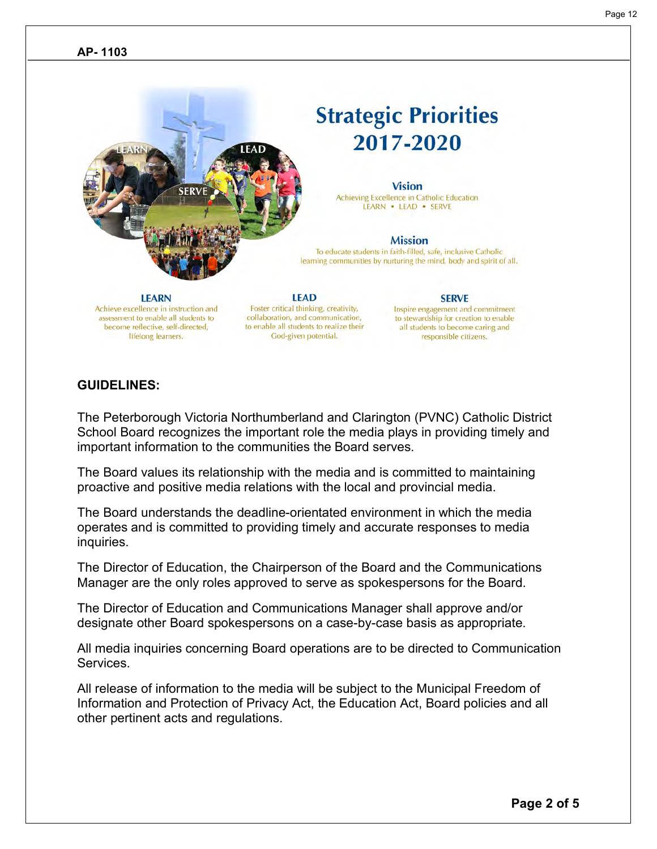# **Strategic Priorities** 2017-2020

#### **Vision**

Achieving Excellence in Catholic Education LEARN . LEAD . SERVE

#### **Mission**

To educate students in faith-filled, safe, inclusive Catholic learning communities by nurturing the mind, body and spirit of all.

#### **SERVE**

Inspire engagement and commitment to stewardship for creation to enable all students to become caring and responsible citizens.

#### **GUIDELINES:**

**LEARN** 

Achieve excellence in instruction and

assessment to enable all students to

become reflective, self-directed,

lifelong learners.

The Peterborough Victoria Northumberland and Clarington (PVNC) Catholic District School Board recognizes the important role the media plays in providing timely and important information to the communities the Board serves.

**LEAD** 

Foster critical thinking, creativity,

collaboration, and communication,

to enable all students to realize their

God-given potential.

The Board values its relationship with the media and is committed to maintaining proactive and positive media relations with the local and provincial media.

The Board understands the deadline-orientated environment in which the media operates and is committed to providing timely and accurate responses to media inquiries.

The Director of Education, the Chairperson of the Board and the Communications Manager are the only roles approved to serve as spokespersons for the Board.

The Director of Education and Communications Manager shall approve and/or designate other Board spokespersons on a case-by-case basis as appropriate.

All media inquiries concerning Board operations are to be directed to Communication Services.

All release of information to the media will be subject to the Municipal Freedom of Information and Protection of Privacy Act, the Education Act, Board policies and all other pertinent acts and regulations.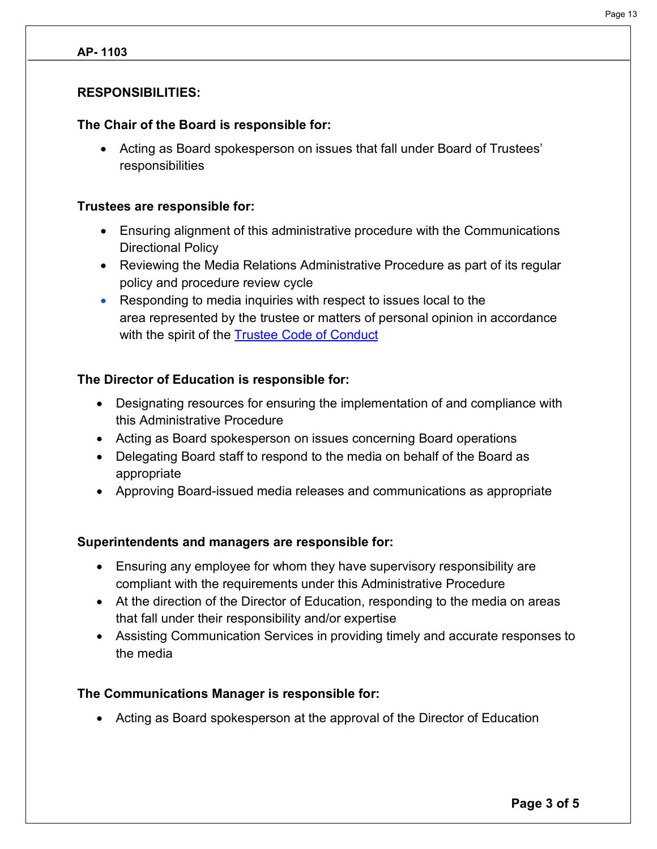#### **AP- 1103**

#### **RESPONSIBILITIES:**

#### **The Chair of the Board is responsible for:**

• Acting as Board spokesperson on issues that fall under Board of Trustees' responsibilities

#### **Trustees are responsible for:**

- Ensuring alignment of this administrative procedure with the Communications Directional Policy
- Reviewing the Media Relations Administrative Procedure as part of its regular policy and procedure review cycle
- Responding to media inquiries with respect to issues local to the area represented by the trustee or matters of personal opinion in accordance with the spirit of the **Trustee Code of Conduct**

#### **The Director of Education is responsible for:**

- Designating resources for ensuring the implementation of and compliance with this Administrative Procedure
- Acting as Board spokesperson on issues concerning Board operations
- Delegating Board staff to respond to the media on behalf of the Board as appropriate
- Approving Board-issued media releases and communications as appropriate

#### **Superintendents and managers are responsible for:**

- Ensuring any employee for whom they have supervisory responsibility are compliant with the requirements under this Administrative Procedure
- At the direction of the Director of Education, responding to the media on areas that fall under their responsibility and/or expertise
- Assisting Communication Services in providing timely and accurate responses to the media

#### **The Communications Manager is responsible for:**

• Acting as Board spokesperson at the approval of the Director of Education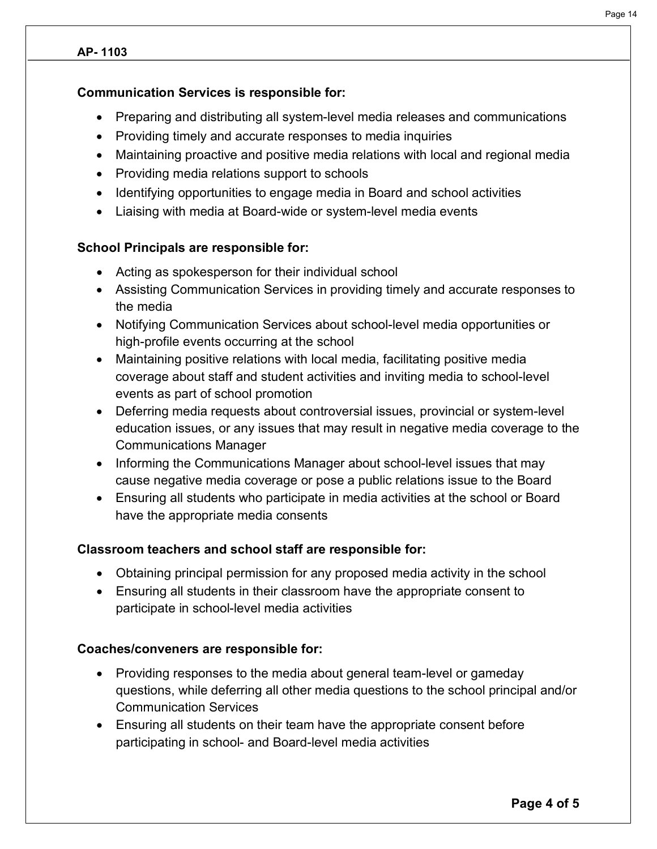#### **AP- 1103**

#### **Communication Services is responsible for:**

- Preparing and distributing all system-level media releases and communications
- Providing timely and accurate responses to media inquiries
- Maintaining proactive and positive media relations with local and regional media
- Providing media relations support to schools
- Identifying opportunities to engage media in Board and school activities
- Liaising with media at Board-wide or system-level media events

# **School Principals are responsible for:**

- Acting as spokesperson for their individual school
- Assisting Communication Services in providing timely and accurate responses to the media
- Notifying Communication Services about school-level media opportunities or high-profile events occurring at the school
- Maintaining positive relations with local media, facilitating positive media coverage about staff and student activities and inviting media to school-level events as part of school promotion
- Deferring media requests about controversial issues, provincial or system-level education issues, or any issues that may result in negative media coverage to the Communications Manager
- Informing the Communications Manager about school-level issues that may cause negative media coverage or pose a public relations issue to the Board
- Ensuring all students who participate in media activities at the school or Board have the appropriate media consents

#### **Classroom teachers and school staff are responsible for:**

- Obtaining principal permission for any proposed media activity in the school
- Ensuring all students in their classroom have the appropriate consent to participate in school-level media activities

#### **Coaches/conveners are responsible for:**

- Providing responses to the media about general team-level or gameday questions, while deferring all other media questions to the school principal and/or Communication Services
- Ensuring all students on their team have the appropriate consent before participating in school- and Board-level media activities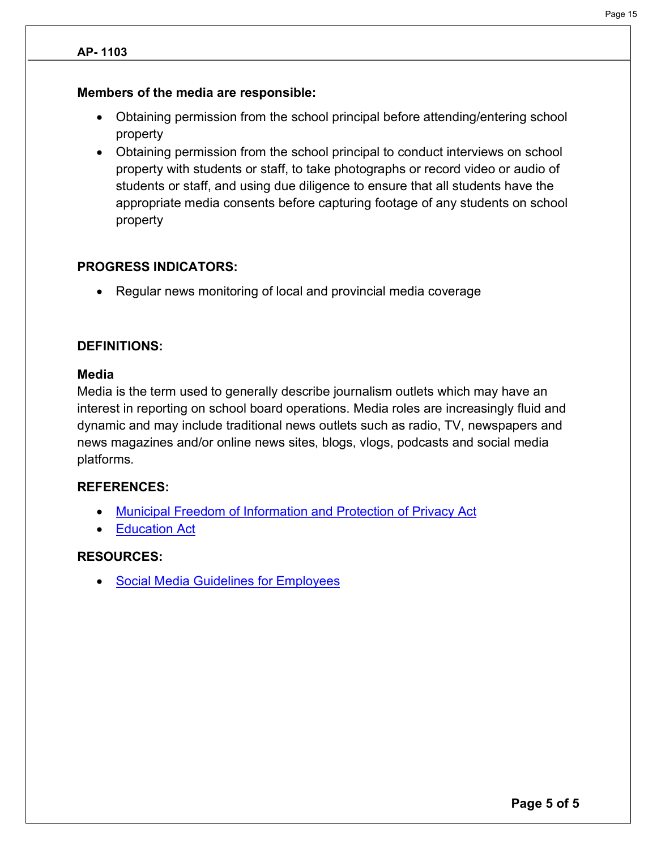#### **AP- 1103**

#### **Members of the media are responsible:**

- Obtaining permission from the school principal before attending/entering school property
- Obtaining permission from the school principal to conduct interviews on school property with students or staff, to take photographs or record video or audio of students or staff, and using due diligence to ensure that all students have the appropriate media consents before capturing footage of any students on school property

#### **PROGRESS INDICATORS:**

• Regular news monitoring of local and provincial media coverage

#### **DEFINITIONS:**

#### **Media**

Media is the term used to generally describe journalism outlets which may have an interest in reporting on school board operations. Media roles are increasingly fluid and dynamic and may include traditional news outlets such as radio, TV, newspapers and news magazines and/or online news sites, blogs, vlogs, podcasts and social media platforms.

#### **REFERENCES:**

- Municipal Freedom of Information and Protection of Privacy Act
- Education Act

#### **RESOURCES:**

• Social Media Guidelines for Employees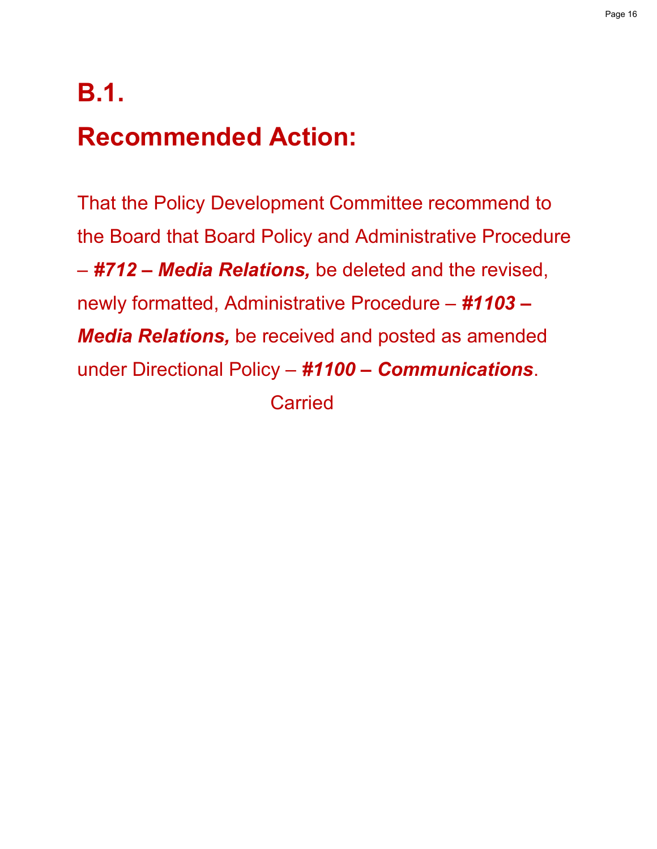# **B.1. Recommended Action:**

That the Policy Development Committee recommend to the Board that Board Policy and Administrative Procedure – *#712 – Media Relations,* be deleted and the revised, newly formatted, Administrative Procedure – *#1103 – Media Relations,* be received and posted as amended under Directional Policy – *#1100 – Communications*.

**Carried**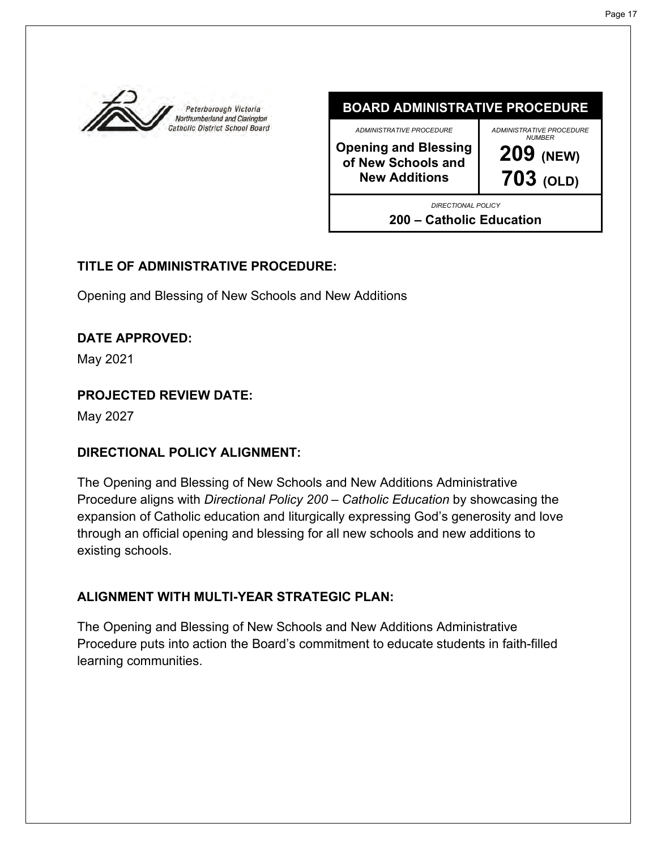<span id="page-16-0"></span>

**BOARD ADMINISTRATIVE PROCEDURE** *ADMINISTRATIVE PROCEDURE* **Opening and Blessing of New Schools and New Additions** *ADMINISTRATIVE PROCEDURE NUMBER* **209 (NEW) 703 (OLD)** *DIRECTIONAL POLICY* **200 – Catholic Education**

# **TITLE OF ADMINISTRATIVE PROCEDURE:**

Opening and Blessing of New Schools and New Additions

# **DATE APPROVED:**

May 2021

# **PROJECTED REVIEW DATE:**

May 2027

# **DIRECTIONAL POLICY ALIGNMENT:**

The Opening and Blessing of New Schools and New Additions Administrative Procedure aligns with *Directional Policy 200 – Catholic Education* by showcasing the expansion of Catholic education and liturgically expressing God's generosity and love through an official opening and blessing for all new schools and new additions to existing schools.

# **ALIGNMENT WITH MULTI-YEAR STRATEGIC PLAN:**

The Opening and Blessing of New Schools and New Additions Administrative Procedure puts into action the Board's commitment to educate students in faith-filled learning communities.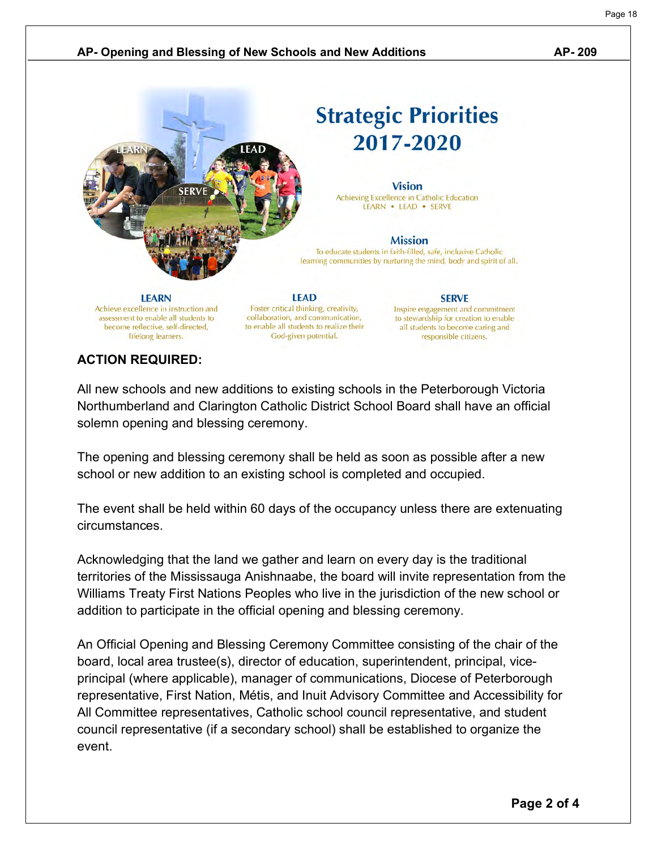#### **AP- Opening and Blessing of New Schools and New Additions AP- 209**



# **ACTION REQUIRED:**

All new schools and new additions to existing schools in the Peterborough Victoria Northumberland and Clarington Catholic District School Board shall have an official solemn opening and blessing ceremony.

The opening and blessing ceremony shall be held as soon as possible after a new school or new addition to an existing school is completed and occupied.

The event shall be held within 60 days of the occupancy unless there are extenuating circumstances.

Acknowledging that the land we gather and learn on every day is the traditional territories of the Mississauga Anishnaabe, the board will invite representation from the Williams Treaty First Nations Peoples who live in the jurisdiction of the new school or addition to participate in the official opening and blessing ceremony.

An Official Opening and Blessing Ceremony Committee consisting of the chair of the board, local area trustee(s), director of education, superintendent, principal, viceprincipal (where applicable), manager of communications, Diocese of Peterborough representative, First Nation, Métis, and Inuit Advisory Committee and Accessibility for All Committee representatives, Catholic school council representative, and student council representative (if a secondary school) shall be established to organize the event.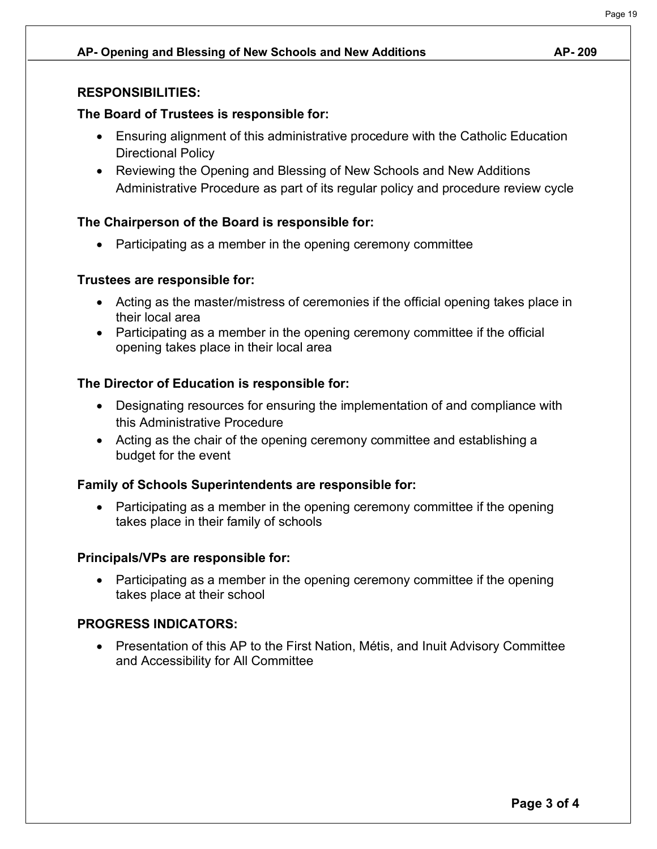#### **AP- Opening and Blessing of New Schools and New Additions AP- 209**

#### **RESPONSIBILITIES:**

#### **The Board of Trustees is responsible for:**

- Ensuring alignment of this administrative procedure with the Catholic Education Directional Policy
- Reviewing the Opening and Blessing of New Schools and New Additions Administrative Procedure as part of its regular policy and procedure review cycle

# **The Chairperson of the Board is responsible for:**

• Participating as a member in the opening ceremony committee

#### **Trustees are responsible for:**

- Acting as the master/mistress of ceremonies if the official opening takes place in their local area
- Participating as a member in the opening ceremony committee if the official opening takes place in their local area

# **The Director of Education is responsible for:**

- Designating resources for ensuring the implementation of and compliance with this Administrative Procedure
- Acting as the chair of the opening ceremony committee and establishing a budget for the event

#### **Family of Schools Superintendents are responsible for:**

• Participating as a member in the opening ceremony committee if the opening takes place in their family of schools

#### **Principals/VPs are responsible for:**

• Participating as a member in the opening ceremony committee if the opening takes place at their school

#### **PROGRESS INDICATORS:**

• Presentation of this AP to the First Nation, Métis, and Inuit Advisory Committee and Accessibility for All Committee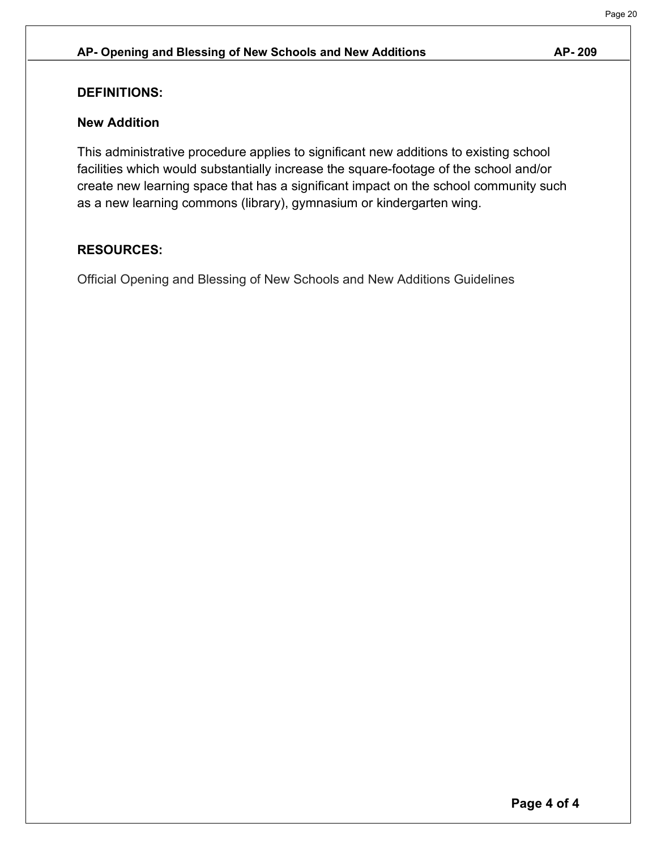#### **AP- Opening and Blessing of New Schools and New Additions AP- 209**

#### **DEFINITIONS:**

#### **New Addition**

This administrative procedure applies to significant new additions to existing school facilities which would substantially increase the square-footage of the school and/or create new learning space that has a significant impact on the school community such as a new learning commons (library), gymnasium or kindergarten wing.

#### **RESOURCES:**

Official Opening and Blessing of New Schools and New Additions Guidelines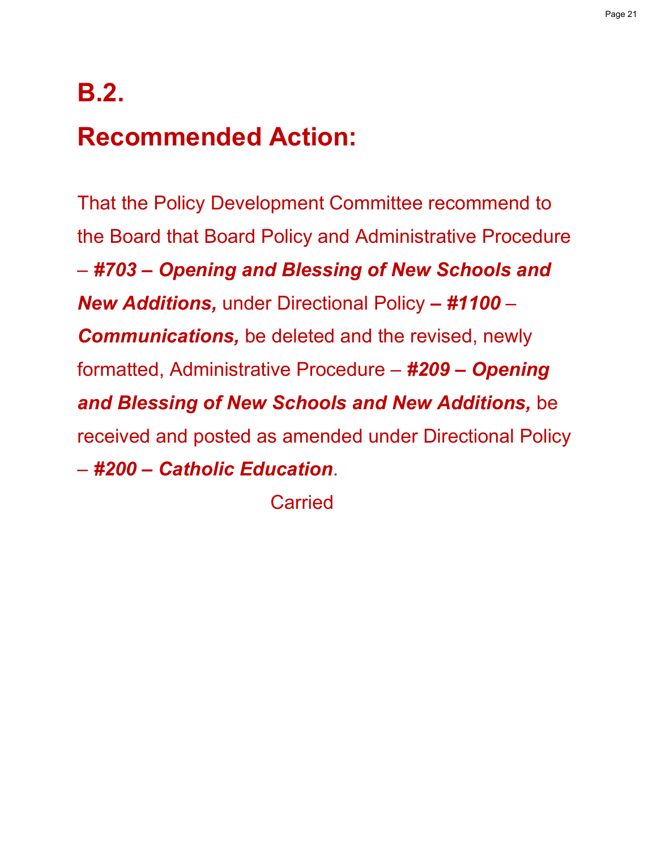# **B.2.**

# **Recommended Action:**

That the Policy Development Committee recommend to the Board that Board Policy and Administrative Procedure – *#703 – Opening and Blessing of New Schools and New Additions,* under Directional Policy *– #1100 – Communications,* be deleted and the revised, newly formatted, Administrative Procedure – *#209 – Opening and Blessing of New Schools and New Additions,* be received and posted as amended under Directional Policy – *#200 – Catholic Education*.

Carried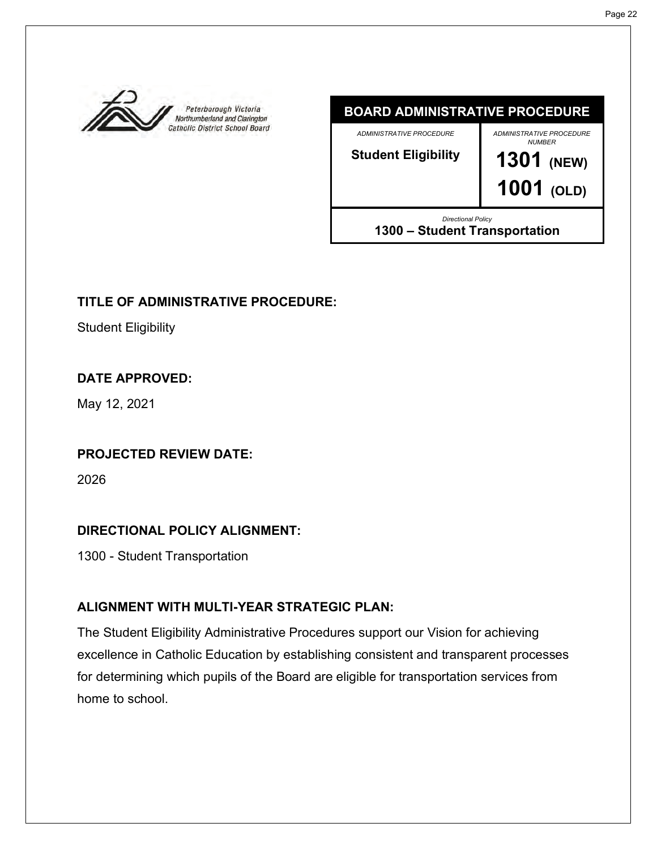<span id="page-21-0"></span>

### **BOARD ADMINISTRATIVE PROCEDURE**

*ADMINISTRATIVE PROCEDURE*

**Student Eligibility**

*ADMINISTRATIVE PROCEDURE* 

*NUMBER* **1301 (NEW)**

**1001 (OLD)**

*Directional Policy* **1300 – Student Transportation**

# **TITLE OF ADMINISTRATIVE PROCEDURE:**

Student Eligibility

# **DATE APPROVED:**

May 12, 2021

# **PROJECTED REVIEW DATE:**

2026

# **DIRECTIONAL POLICY ALIGNMENT:**

1300 - Student Transportation

# **ALIGNMENT WITH MULTI-YEAR STRATEGIC PLAN:**

The Student Eligibility Administrative Procedures support our Vision for achieving excellence in Catholic Education by establishing consistent and transparent processes for determining which pupils of the Board are eligible for transportation services from home to school.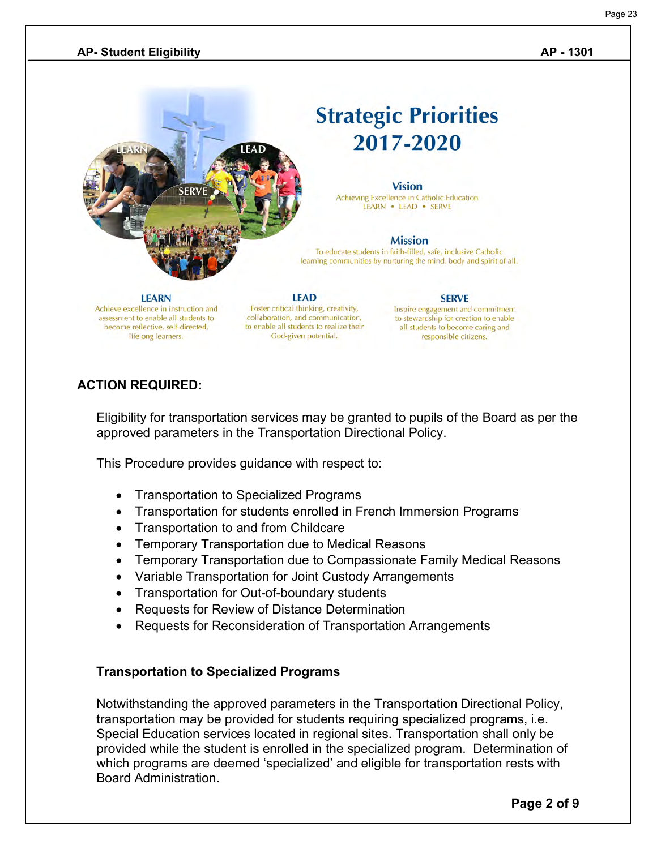# **Strategic Priorities** 2017-2020

#### **Vision**

Achieving Excellence in Catholic Education LEARN . LEAD . SERVE

#### **Mission**

To educate students in faith-filled, safe, inclusive Catholic learning communities by nurturing the mind, body and spirit of all.

#### **LEARN**

Achieve excellence in instruction and assessment to enable all students to become reflective, self-directed, lifelong learners.

Foster critical thinking, creativity, collaboration, and communication, to enable all students to realize their God-given potential.

**LEAD** 

# **SERVE**

Inspire engagement and commitment to stewardship for creation to enable all students to become caring and responsible citizens.

# **ACTION REQUIRED:**

Eligibility for transportation services may be granted to pupils of the Board as per the approved parameters in the Transportation Directional Policy.

This Procedure provides guidance with respect to:

- Transportation to Specialized Programs
- Transportation for students enrolled in French Immersion Programs
- Transportation to and from Childcare
- Temporary Transportation due to Medical Reasons
- Temporary Transportation due to Compassionate Family Medical Reasons
- Variable Transportation for Joint Custody Arrangements
- Transportation for Out-of-boundary students
- Requests for Review of Distance Determination
- Requests for Reconsideration of Transportation Arrangements

#### **Transportation to Specialized Programs**

Notwithstanding the approved parameters in the Transportation Directional Policy, transportation may be provided for students requiring specialized programs, i.e. Special Education services located in regional sites. Transportation shall only be provided while the student is enrolled in the specialized program. Determination of which programs are deemed 'specialized' and eligible for transportation rests with Board Administration.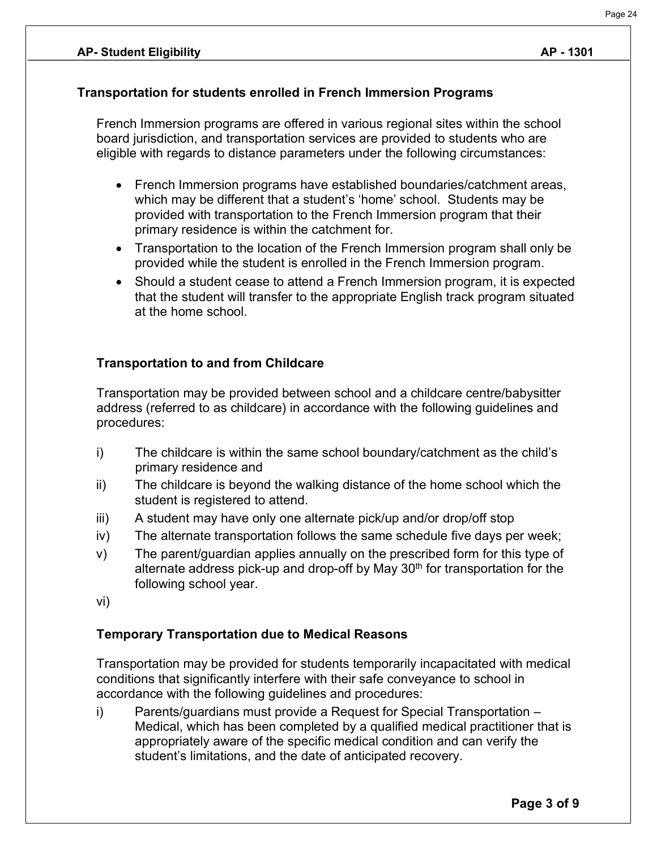# **Transportation for students enrolled in French Immersion Programs**

French Immersion programs are offered in various regional sites within the school board jurisdiction, and transportation services are provided to students who are eligible with regards to distance parameters under the following circumstances:

- French Immersion programs have established boundaries/catchment areas, which may be different that a student's 'home' school. Students may be provided with transportation to the French Immersion program that their primary residence is within the catchment for.
- Transportation to the location of the French Immersion program shall only be provided while the student is enrolled in the French Immersion program.
- Should a student cease to attend a French Immersion program, it is expected that the student will transfer to the appropriate English track program situated at the home school.

# **Transportation to and from Childcare**

Transportation may be provided between school and a childcare centre/babysitter address (referred to as childcare) in accordance with the following guidelines and procedures:

- i) The childcare is within the same school boundary/catchment as the child's primary residence and
- ii) The childcare is beyond the walking distance of the home school which the student is registered to attend.
- iii) A student may have only one alternate pick/up and/or drop/off stop
- iv) The alternate transportation follows the same schedule five days per week;
- v) The parent/guardian applies annually on the prescribed form for this type of alternate address pick-up and drop-off by May 30<sup>th</sup> for transportation for the following school year.
- vi)

# **Temporary Transportation due to Medical Reasons**

Transportation may be provided for students temporarily incapacitated with medical conditions that significantly interfere with their safe conveyance to school in accordance with the following guidelines and procedures:

i) Parents/guardians must provide a Request for Special Transportation – Medical, which has been completed by a qualified medical practitioner that is appropriately aware of the specific medical condition and can verify the student's limitations, and the date of anticipated recovery.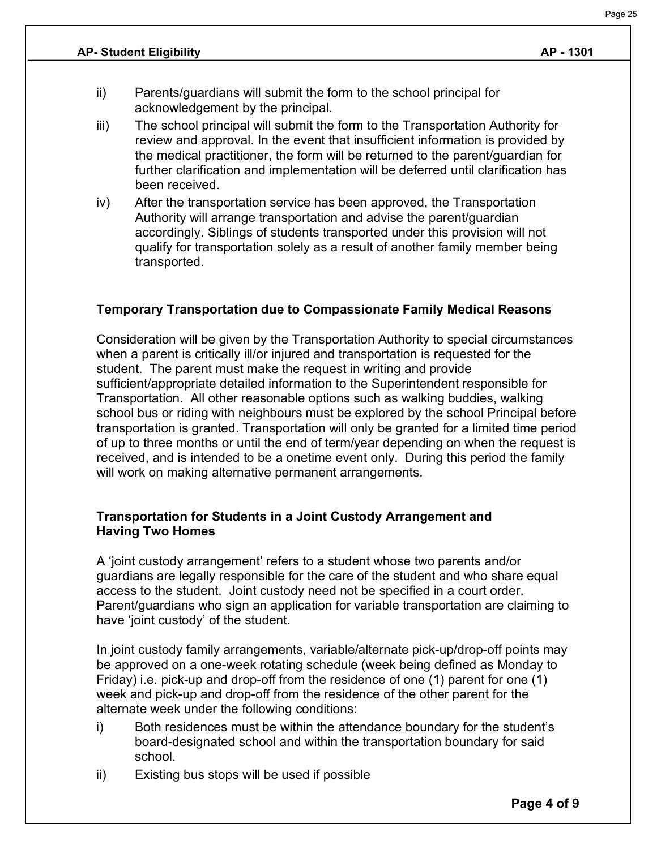- ii) Parents/guardians will submit the form to the school principal for acknowledgement by the principal.
- iii) The school principal will submit the form to the Transportation Authority for review and approval. In the event that insufficient information is provided by the medical practitioner, the form will be returned to the parent/guardian for further clarification and implementation will be deferred until clarification has been received.
- iv) After the transportation service has been approved, the Transportation Authority will arrange transportation and advise the parent/guardian accordingly. Siblings of students transported under this provision will not qualify for transportation solely as a result of another family member being transported.

# **Temporary Transportation due to Compassionate Family Medical Reasons**

Consideration will be given by the Transportation Authority to special circumstances when a parent is critically ill/or injured and transportation is requested for the student. The parent must make the request in writing and provide sufficient/appropriate detailed information to the Superintendent responsible for Transportation. All other reasonable options such as walking buddies, walking school bus or riding with neighbours must be explored by the school Principal before transportation is granted. Transportation will only be granted for a limited time period of up to three months or until the end of term/year depending on when the request is received, and is intended to be a onetime event only. During this period the family will work on making alternative permanent arrangements.

#### **Transportation for Students in a Joint Custody Arrangement and Having Two Homes**

A 'joint custody arrangement' refers to a student whose two parents and/or guardians are legally responsible for the care of the student and who share equal access to the student. Joint custody need not be specified in a court order. Parent/guardians who sign an application for variable transportation are claiming to have 'joint custody' of the student.

In joint custody family arrangements, variable/alternate pick-up/drop-off points may be approved on a one-week rotating schedule (week being defined as Monday to Friday) i.e. pick-up and drop-off from the residence of one (1) parent for one (1) week and pick-up and drop-off from the residence of the other parent for the alternate week under the following conditions:

- i) Both residences must be within the attendance boundary for the student's board-designated school and within the transportation boundary for said school.
- ii) Existing bus stops will be used if possible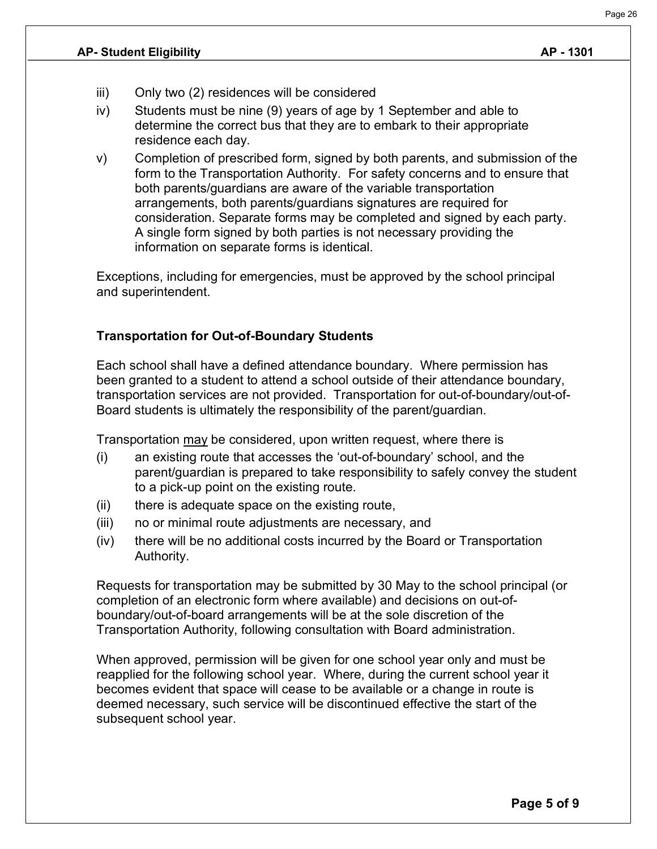- iii) Only two (2) residences will be considered
- iv) Students must be nine (9) years of age by 1 September and able to determine the correct bus that they are to embark to their appropriate residence each day.
- v) Completion of prescribed form, signed by both parents, and submission of the form to the Transportation Authority. For safety concerns and to ensure that both parents/guardians are aware of the variable transportation arrangements, both parents/guardians signatures are required for consideration. Separate forms may be completed and signed by each party. A single form signed by both parties is not necessary providing the information on separate forms is identical.

Exceptions, including for emergencies, must be approved by the school principal and superintendent.

# **Transportation for Out-of-Boundary Students**

Each school shall have a defined attendance boundary. Where permission has been granted to a student to attend a school outside of their attendance boundary, transportation services are not provided. Transportation for out-of-boundary/out-of-Board students is ultimately the responsibility of the parent/guardian.

Transportation may be considered, upon written request, where there is

- (i) an existing route that accesses the 'out-of-boundary' school, and the parent/guardian is prepared to take responsibility to safely convey the student to a pick-up point on the existing route.
- (ii) there is adequate space on the existing route,
- (iii) no or minimal route adjustments are necessary, and
- (iv) there will be no additional costs incurred by the Board or Transportation Authority.

Requests for transportation may be submitted by 30 May to the school principal (or completion of an electronic form where available) and decisions on out-ofboundary/out-of-board arrangements will be at the sole discretion of the Transportation Authority, following consultation with Board administration.

When approved, permission will be given for one school year only and must be reapplied for the following school year. Where, during the current school year it becomes evident that space will cease to be available or a change in route is deemed necessary, such service will be discontinued effective the start of the subsequent school year.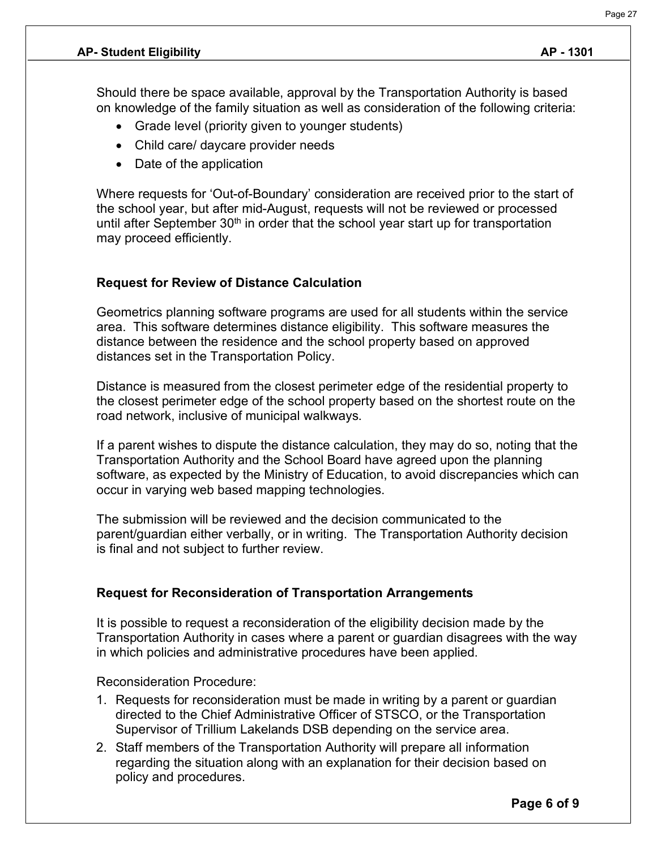Should there be space available, approval by the Transportation Authority is based on knowledge of the family situation as well as consideration of the following criteria:

- Grade level (priority given to younger students)
- Child care/ daycare provider needs
- Date of the application

Where requests for 'Out-of-Boundary' consideration are received prior to the start of the school year, but after mid-August, requests will not be reviewed or processed until after September  $30<sup>th</sup>$  in order that the school year start up for transportation may proceed efficiently.

#### **Request for Review of Distance Calculation**

Geometrics planning software programs are used for all students within the service area. This software determines distance eligibility. This software measures the distance between the residence and the school property based on approved distances set in the Transportation Policy.

Distance is measured from the closest perimeter edge of the residential property to the closest perimeter edge of the school property based on the shortest route on the road network, inclusive of municipal walkways.

If a parent wishes to dispute the distance calculation, they may do so, noting that the Transportation Authority and the School Board have agreed upon the planning software, as expected by the Ministry of Education, to avoid discrepancies which can occur in varying web based mapping technologies.

The submission will be reviewed and the decision communicated to the parent/guardian either verbally, or in writing. The Transportation Authority decision is final and not subject to further review.

#### **Request for Reconsideration of Transportation Arrangements**

It is possible to request a reconsideration of the eligibility decision made by the Transportation Authority in cases where a parent or guardian disagrees with the way in which policies and administrative procedures have been applied.

Reconsideration Procedure:

- 1. Requests for reconsideration must be made in writing by a parent or guardian directed to the Chief Administrative Officer of STSCO, or the Transportation Supervisor of Trillium Lakelands DSB depending on the service area.
- 2. Staff members of the Transportation Authority will prepare all information regarding the situation along with an explanation for their decision based on policy and procedures.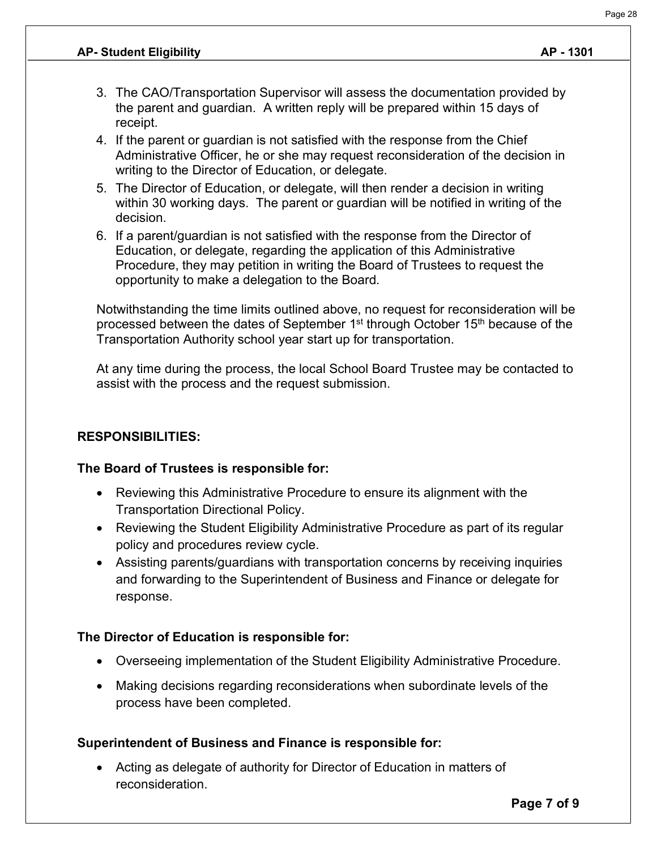- 3. The CAO/Transportation Supervisor will assess the documentation provided by the parent and guardian. A written reply will be prepared within 15 days of receipt.
- 4. If the parent or guardian is not satisfied with the response from the Chief Administrative Officer, he or she may request reconsideration of the decision in writing to the Director of Education, or delegate.
- 5. The Director of Education, or delegate, will then render a decision in writing within 30 working days. The parent or guardian will be notified in writing of the decision.
- 6. If a parent/guardian is not satisfied with the response from the Director of Education, or delegate, regarding the application of this Administrative Procedure, they may petition in writing the Board of Trustees to request the opportunity to make a delegation to the Board.

Notwithstanding the time limits outlined above, no request for reconsideration will be processed between the dates of September  $1<sup>st</sup>$  through October  $15<sup>th</sup>$  because of the Transportation Authority school year start up for transportation.

At any time during the process, the local School Board Trustee may be contacted to assist with the process and the request submission.

#### **RESPONSIBILITIES:**

#### **The Board of Trustees is responsible for:**

- Reviewing this Administrative Procedure to ensure its alignment with the Transportation Directional Policy.
- Reviewing the Student Eligibility Administrative Procedure as part of its regular policy and procedures review cycle.
- Assisting parents/guardians with transportation concerns by receiving inquiries and forwarding to the Superintendent of Business and Finance or delegate for response.

# **The Director of Education is responsible for:**

- Overseeing implementation of the Student Eligibility Administrative Procedure.
- Making decisions regarding reconsiderations when subordinate levels of the process have been completed.

#### **Superintendent of Business and Finance is responsible for:**

• Acting as delegate of authority for Director of Education in matters of reconsideration.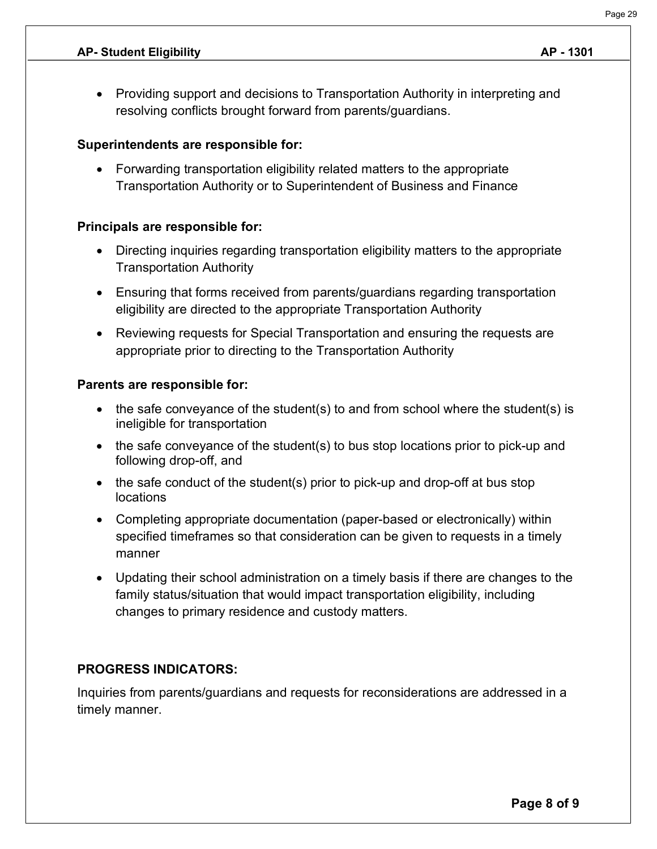• Providing support and decisions to Transportation Authority in interpreting and resolving conflicts brought forward from parents/guardians.

# **Superintendents are responsible for:**

• Forwarding transportation eligibility related matters to the appropriate Transportation Authority or to Superintendent of Business and Finance

# **Principals are responsible for:**

- Directing inquiries regarding transportation eligibility matters to the appropriate Transportation Authority
- Ensuring that forms received from parents/guardians regarding transportation eligibility are directed to the appropriate Transportation Authority
- Reviewing requests for Special Transportation and ensuring the requests are appropriate prior to directing to the Transportation Authority

# **Parents are responsible for:**

- the safe conveyance of the student(s) to and from school where the student(s) is ineligible for transportation
- the safe conveyance of the student(s) to bus stop locations prior to pick-up and following drop-off, and
- the safe conduct of the student(s) prior to pick-up and drop-off at bus stop locations
- Completing appropriate documentation (paper-based or electronically) within specified timeframes so that consideration can be given to requests in a timely manner
- Updating their school administration on a timely basis if there are changes to the family status/situation that would impact transportation eligibility, including changes to primary residence and custody matters.

# **PROGRESS INDICATORS:**

Inquiries from parents/guardians and requests for reconsiderations are addressed in a timely manner.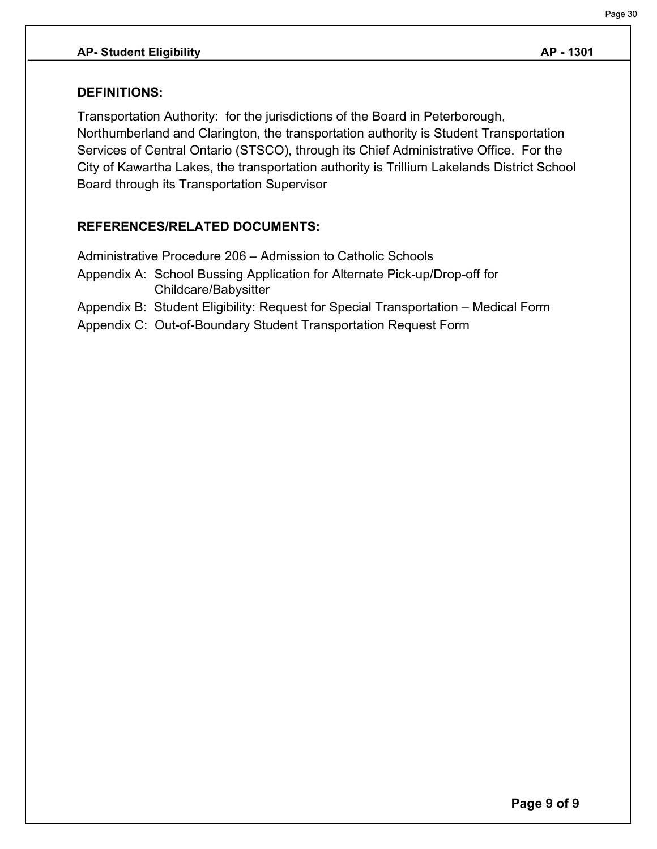#### **DEFINITIONS:**

Transportation Authority: for the jurisdictions of the Board in Peterborough, Northumberland and Clarington, the transportation authority is Student Transportation Services of Central Ontario (STSCO), through its Chief Administrative Office. For the City of Kawartha Lakes, the transportation authority is Trillium Lakelands District School Board through its Transportation Supervisor

# **REFERENCES/RELATED DOCUMENTS:**

Administrative Procedure 206 – Admission to Catholic Schools Appendix A: School Bussing Application for Alternate Pick-up/Drop-off for Childcare/Babysitter Appendix B: Student Eligibility: Request for Special Transportation – Medical Form Appendix C: Out-of-Boundary Student Transportation Request Form